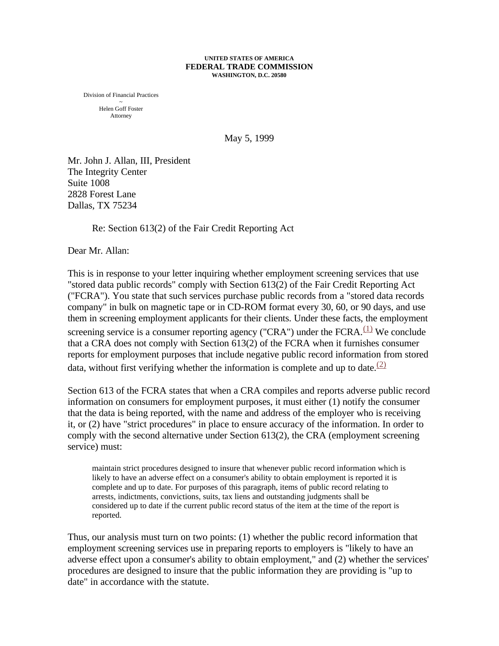## **UNITED STATES OF AMERICA FEDERAL TRADE COMMISSION WASHINGTON, D.C. 20580**

Division of Financial Practices ~ Helen Goff Foster Attorney

May 5, 1999

Mr. John J. Allan, III, President The Integrity Center Suite 1008 2828 Forest Lane Dallas, TX 75234

Re: Section 613(2) of the Fair Credit Reporting Act

Dear Mr. Allan:

This is in response to your letter inquiring whether employment screening services that use "stored data public records" comply with Section 613(2) of the Fair Credit Reporting Act ("FCRA"). You state that such services purchase public records from a "stored data records company" in bulk on magnetic tape or in CD-ROM format every 30, 60, or 90 days, and use them in screening employment applicants for their clients. Under these facts, the employment screening service is a consumer reporting agency ("CRA") under the FCRA. $(1)$  We conclude that a CRA does not comply with Section 613(2) of the FCRA when it furnishes consumer reports for employment purposes that include negative public record information from stored data, without first verifying whether the information is complete and up to date.<sup> $(2)$ </sup>

Section 613 of the FCRA states that when a CRA compiles and reports adverse public record information on consumers for employment purposes, it must either (1) notify the consumer that the data is being reported, with the name and address of the employer who is receiving it, or (2) have "strict procedures" in place to ensure accuracy of the information. In order to comply with the second alternative under Section 613(2), the CRA (employment screening service) must:

maintain strict procedures designed to insure that whenever public record information which is likely to have an adverse effect on a consumer's ability to obtain employment is reported it is complete and up to date. For purposes of this paragraph, items of public record relating to arrests, indictments, convictions, suits, tax liens and outstanding judgments shall be considered up to date if the current public record status of the item at the time of the report is reported.

Thus, our analysis must turn on two points: (1) whether the public record information that employment screening services use in preparing reports to employers is "likely to have an adverse effect upon a consumer's ability to obtain employment," and (2) whether the services' procedures are designed to insure that the public information they are providing is "up to date" in accordance with the statute.